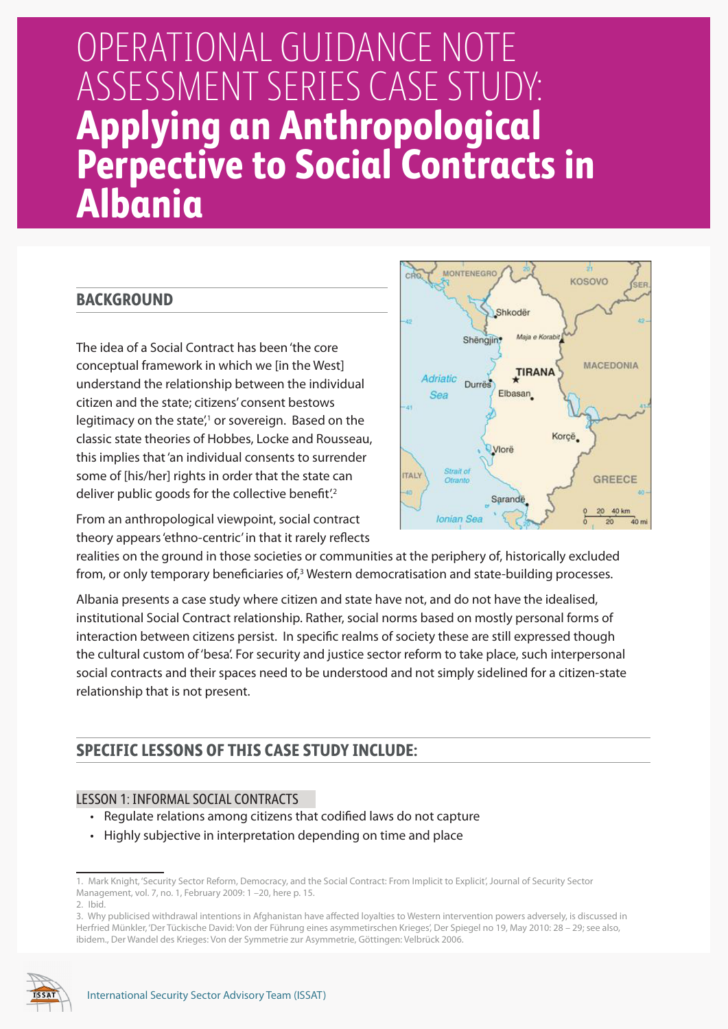# OPERATIONAL GUIDANCE NOTE ASSESSMENT SERIES CASE STUDY: **Applying an Anthropological Perpective to Social Contracts in Albania**

## **BACKGROUND**

The idea of a Social Contract has been 'the core conceptual framework in which we [in the West] understand the relationship between the individual citizen and the state; citizens' consent bestows legitimacy on the state<sup>'</sup>,<sup>1</sup> or sovereign. Based on the classic state theories of Hobbes, Locke and Rousseau, this implies that 'an individual consents to surrender some of [his/her] rights in order that the state can deliver public goods for the collective benefit.<sup>2</sup>

From an anthropological viewpoint, social contract theory appears 'ethno-centric' in that it rarely reflects



realities on the ground in those societies or communities at the periphery of, historically excluded from, or only temporary beneficiaries of,<sup>3</sup> Western democratisation and state-building processes.

Albania presents a case study where citizen and state have not, and do not have the idealised, institutional Social Contract relationship. Rather, social norms based on mostly personal forms of interaction between citizens persist. In specific realms of society these are still expressed though the cultural custom of 'besa'. For security and justice sector reform to take place, such interpersonal social contracts and their spaces need to be understood and not simply sidelined for a citizen-state relationship that is not present.

# **SPECIFIC LESSONS OF THIS CASE STUDY INCLUDE:**

### LESSON 1: INFORMAL SOCIAL CONTRACTS

- Regulate relations among citizens that codified laws do not capture
- Highly subjective in interpretation depending on time and place

<sup>3.</sup> Why publicised withdrawal intentions in Afghanistan have affected loyalties to Western intervention powers adversely, is discussed in Herfried Münkler, 'Der Tückische David: Von der Führung eines asymmetirschen Krieges', Der Spiegel no 19, May 2010: 28 – 29; see also, ibidem., Der Wandel des Krieges: Von der Symmetrie zur Asymmetrie, Göttingen: Velbrück 2006.



<sup>1.</sup> Mark Knight, 'Security Sector Reform, Democracy, and the Social Contract: From Implicit to Explicit', Journal of Security Sector Management, vol. 7, no. 1, February 2009: 1 –20, here p. 15.

<sup>2.</sup> Ibid.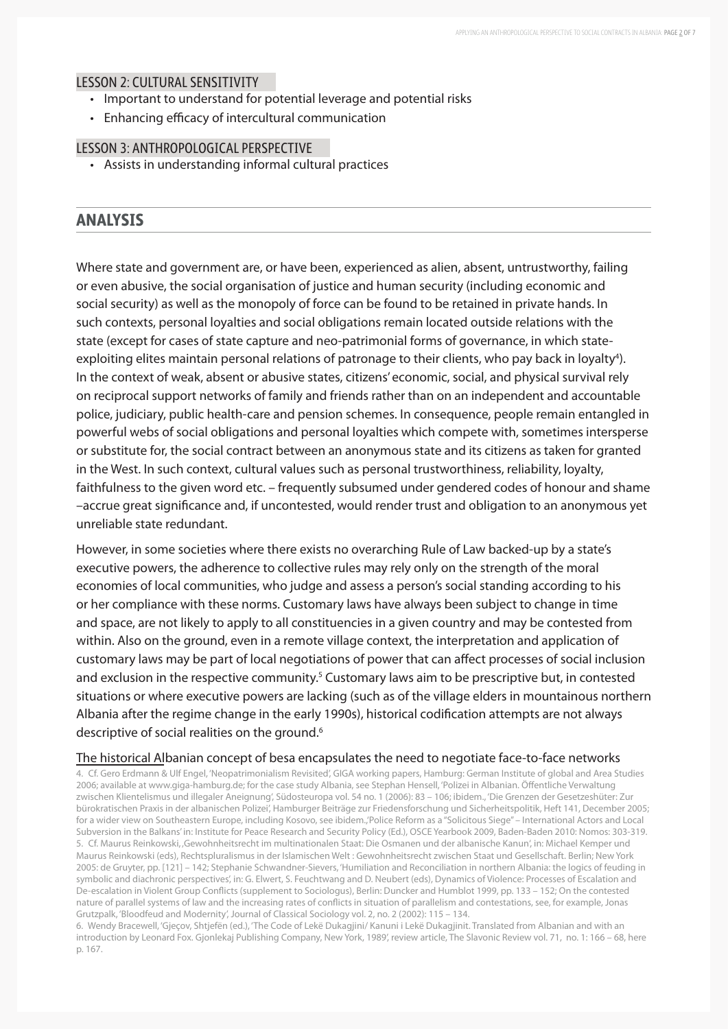#### LESSON 2: CULTURAL SENSITIVITY

- Important to understand for potential leverage and potential risks
- • Enhancing efficacy of intercultural communication

#### LESSON 3: ANTHROPOLOGICAL PERSPECTIVE

• Assists in understanding informal cultural practices

## **ANALYSIS**

Where state and government are, or have been, experienced as alien, absent, untrustworthy, failing or even abusive, the social organisation of justice and human security (including economic and social security) as well as the monopoly of force can be found to be retained in private hands. In such contexts, personal loyalties and social obligations remain located outside relations with the state (except for cases of state capture and neo-patrimonial forms of governance, in which stateexploiting elites maintain personal relations of patronage to their clients, who pay back in loyalty<sup>4</sup>). In the context of weak, absent or abusive states, citizens' economic, social, and physical survival rely on reciprocal support networks of family and friends rather than on an independent and accountable police, judiciary, public health-care and pension schemes. In consequence, people remain entangled in powerful webs of social obligations and personal loyalties which compete with, sometimes intersperse or substitute for, the social contract between an anonymous state and its citizens as taken for granted in the West. In such context, cultural values such as personal trustworthiness, reliability, loyalty, faithfulness to the given word etc. – frequently subsumed under gendered codes of honour and shame –accrue great significance and, if uncontested, would render trust and obligation to an anonymous yet unreliable state redundant.

However, in some societies where there exists no overarching Rule of Law backed-up by a state's executive powers, the adherence to collective rules may rely only on the strength of the moral economies of local communities, who judge and assess a person's social standing according to his or her compliance with these norms. Customary laws have always been subject to change in time and space, are not likely to apply to all constituencies in a given country and may be contested from within. Also on the ground, even in a remote village context, the interpretation and application of customary laws may be part of local negotiations of power that can affect processes of social inclusion and exclusion in the respective community.<sup>5</sup> Customary laws aim to be prescriptive but, in contested situations or where executive powers are lacking (such as of the village elders in mountainous northern Albania after the regime change in the early 1990s), historical codification attempts are not always descriptive of social realities on the ground.<sup>6</sup>

#### The historical Albanian concept of besa encapsulates the need to negotiate face-to-face networks

4. Cf. Gero Erdmann & Ulf Engel, 'Neopatrimonialism Revisited', GIGA working papers, Hamburg: German Institute of global and Area Studies 2006; available at www.giga-hamburg.de; for the case study Albania, see Stephan Hensell, 'Polizei in Albanian. Öffentliche Verwaltung zwischen Klientelismus und illegaler Aneignung', Südosteuropa vol. 54 no. 1 (2006): 83 – 106; ibidem., 'Die Grenzen der Gesetzeshüter: Zur bürokratischen Praxis in der albanischen Polizei', Hamburger Beiträge zur Friedensforschung und Sicherheitspolitik, Heft 141, December 2005; for a wider view on Southeastern Europe, including Kosovo, see ibidem.,'Police Reform as a "Solicitous Siege" – International Actors and Local Subversion in the Balkans' in: Institute for Peace Research and Security Policy (Ed.), OSCE Yearbook 2009, Baden-Baden 2010: Nomos: 303-319. 5. Cf. Maurus Reinkowski, 'Gewohnheitsrecht im multinationalen Staat: Die Osmanen und der albanische Kanun', in: Michael Kemper und Maurus Reinkowski (eds), Rechtspluralismus in der Islamischen Welt : Gewohnheitsrecht zwischen Staat und Gesellschaft. Berlin; New York 2005: de Gruyter, pp. [121] – 142; Stephanie Schwandner-Sievers, 'Humiliation and Reconciliation in northern Albania: the logics of feuding in symbolic and diachronic perspectives', in: G. Elwert, S. Feuchtwang and D. Neubert (eds), Dynamics of Violence: Processes of Escalation and De-escalation in Violent Group Conflicts (supplement to Sociologus), Berlin: Duncker and Humblot 1999, pp. 133 – 152; On the contested nature of parallel systems of law and the increasing rates of conflicts in situation of parallelism and contestations, see, for example, Jonas Grutzpalk, 'Bloodfeud and Modernity', Journal of Classical Sociology vol. 2, no. 2 (2002): 115 – 134.

6. Wendy Bracewell, 'Gjeçov, Shtjefën (ed.), 'The Code of Lekë Dukagjini/ Kanuni i Lekë Dukagjinit. Translated from Albanian and with an introduction by Leonard Fox. Gjonlekaj Publishing Company, New York, 1989', review article, The Slavonic Review vol. 71, no. 1: 166 – 68, here p. 167.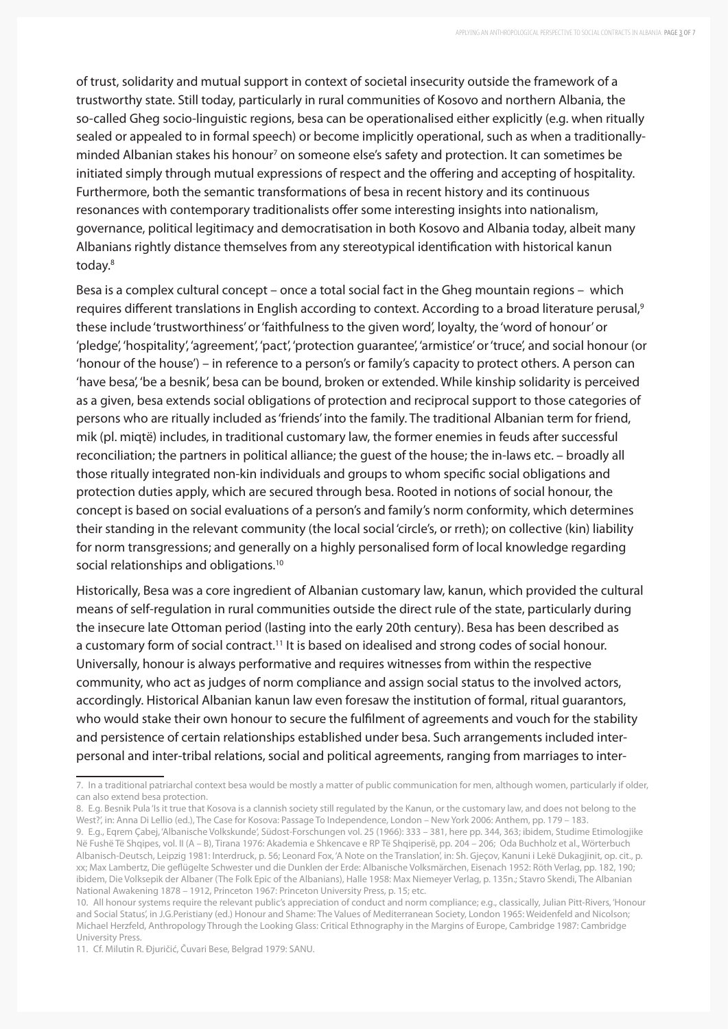of trust, solidarity and mutual support in context of societal insecurity outside the framework of a trustworthy state. Still today, particularly in rural communities of Kosovo and northern Albania, the so-called Gheg socio-linguistic regions, besa can be operationalised either explicitly (e.g. when ritually sealed or appealed to in formal speech) or become implicitly operational, such as when a traditionallyminded Albanian stakes his honour<sup>7</sup> on someone else's safety and protection. It can sometimes be initiated simply through mutual expressions of respect and the offering and accepting of hospitality. Furthermore, both the semantic transformations of besa in recent history and its continuous resonances with contemporary traditionalists offer some interesting insights into nationalism, governance, political legitimacy and democratisation in both Kosovo and Albania today, albeit many Albanians rightly distance themselves from any stereotypical identification with historical kanun today.8

Besa is a complex cultural concept – once a total social fact in the Gheg mountain regions – which requires different translations in English according to context. According to a broad literature perusal,<sup>9</sup> these include 'trustworthiness' or 'faithfulness to the given word', loyalty, the 'word of honour' or 'pledge', 'hospitality', 'agreement', 'pact', 'protection guarantee', 'armistice' or 'truce', and social honour (or 'honour of the house') – in reference to a person's or family's capacity to protect others. A person can 'have besa', 'be a besnik', besa can be bound, broken or extended. While kinship solidarity is perceived as a given, besa extends social obligations of protection and reciprocal support to those categories of persons who are ritually included as 'friends' into the family. The traditional Albanian term for friend, mik (pl. miqtë) includes, in traditional customary law, the former enemies in feuds after successful reconciliation; the partners in political alliance; the guest of the house; the in-laws etc. – broadly all those ritually integrated non-kin individuals and groups to whom specific social obligations and protection duties apply, which are secured through besa. Rooted in notions of social honour, the concept is based on social evaluations of a person's and family's norm conformity, which determines their standing in the relevant community (the local social 'circle's, or rreth); on collective (kin) liability for norm transgressions; and generally on a highly personalised form of local knowledge regarding social relationships and obligations.<sup>10</sup>

Historically, Besa was a core ingredient of Albanian customary law, kanun, which provided the cultural means of self-regulation in rural communities outside the direct rule of the state, particularly during the insecure late Ottoman period (lasting into the early 20th century). Besa has been described as a customary form of social contract.<sup>11</sup> It is based on idealised and strong codes of social honour. Universally, honour is always performative and requires witnesses from within the respective community, who act as judges of norm compliance and assign social status to the involved actors, accordingly. Historical Albanian kanun law even foresaw the institution of formal, ritual guarantors, who would stake their own honour to secure the fulfilment of agreements and vouch for the stability and persistence of certain relationships established under besa. Such arrangements included interpersonal and inter-tribal relations, social and political agreements, ranging from marriages to inter-

<sup>7.</sup> In a traditional patriarchal context besa would be mostly a matter of public communication for men, although women, particularly if older, can also extend besa protection.

<sup>8.</sup> E.g. Besnik Pula 'Is it true that Kosova is a clannish society still regulated by the Kanun, or the customary law, and does not belong to the West?', in: Anna Di Lellio (ed.), The Case for Kosova: Passage To Independence, London – New York 2006: Anthem, pp. 179 – 183.

<sup>9.</sup> E.g., Eqrem Çabej, 'Albanische Volkskunde', Südost-Forschungen vol. 25 (1966): 333 – 381, here pp. 344, 363; ibidem, Studime Etimologjike Në Fushë Të Shqipes, vol. II (A – B), Tirana 1976: Akademia e Shkencave e RP Të Shqiperisë, pp. 204 – 206; Oda Buchholz et al., Wörterbuch Albanisch-Deutsch, Leipzig 1981: Interdruck, p. 56; Leonard Fox, 'A Note on the Translation', in: Sh. Gjeçov, Kanuni i Lekë Dukagjinit, op. cit., p. xx; Max Lambertz, Die geflügelte Schwester und die Dunklen der Erde: Albanische Volksmärchen, Eisenach 1952: Röth Verlag, pp. 182, 190; ibidem, Die Volksepik der Albaner (The Folk Epic of the Albanians), Halle 1958: Max Niemeyer Verlag, p. 135n.; Stavro Skendi, The Albanian National Awakening 1878 – 1912, Princeton 1967: Princeton University Press, p. 15; etc.

<sup>10.</sup> All honour systems require the relevant public's appreciation of conduct and norm compliance; e.g., classically, Julian Pitt-Rivers, 'Honour and Social Status', in J.G.Peristiany (ed.) Honour and Shame: The Values of Mediterranean Society, London 1965: Weidenfeld and Nicolson; Michael Herzfeld, Anthropology Through the Looking Glass: Critical Ethnography in the Margins of Europe, Cambridge 1987: Cambridge University Press.

<sup>11.</sup> Cf. Milutin R. Đjuričić, Čuvari Bese, Belgrad 1979: SANU.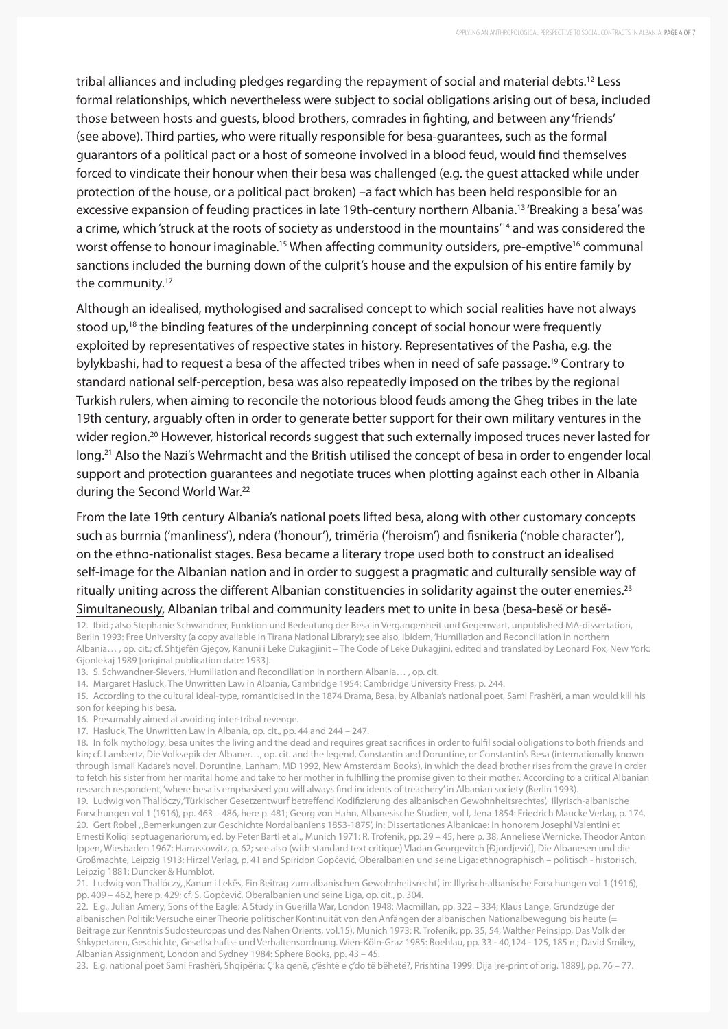tribal alliances and including pledges regarding the repayment of social and material debts.<sup>12</sup> Less formal relationships, which nevertheless were subject to social obligations arising out of besa, included those between hosts and guests, blood brothers, comrades in fighting, and between any 'friends' (see above). Third parties, who were ritually responsible for besa-guarantees, such as the formal guarantors of a political pact or a host of someone involved in a blood feud, would find themselves forced to vindicate their honour when their besa was challenged (e.g. the guest attacked while under protection of the house, or a political pact broken) –a fact which has been held responsible for an excessive expansion of feuding practices in late 19th-century northern Albania.13 'Breaking a besa' was a crime, which 'struck at the roots of society as understood in the mountains'14 and was considered the worst offense to honour imaginable.<sup>15</sup> When affecting community outsiders, pre-emptive<sup>16</sup> communal sanctions included the burning down of the culprit's house and the expulsion of his entire family by the community.<sup>17</sup>

Although an idealised, mythologised and sacralised concept to which social realities have not always stood up,<sup>18</sup> the binding features of the underpinning concept of social honour were frequently exploited by representatives of respective states in history. Representatives of the Pasha, e.g. the bylykbashi, had to request a besa of the affected tribes when in need of safe passage.19 Contrary to standard national self-perception, besa was also repeatedly imposed on the tribes by the regional Turkish rulers, when aiming to reconcile the notorious blood feuds among the Gheg tribes in the late 19th century, arguably often in order to generate better support for their own military ventures in the wider region.<sup>20</sup> However, historical records suggest that such externally imposed truces never lasted for long.<sup>21</sup> Also the Nazi's Wehrmacht and the British utilised the concept of besa in order to engender local support and protection guarantees and negotiate truces when plotting against each other in Albania during the Second World War.<sup>22</sup>

From the late 19th century Albania's national poets lifted besa, along with other customary concepts such as burrnia ('manliness'), ndera ('honour'), trimëria ('heroism') and fisnikeria ('noble character'), on the ethno-nationalist stages. Besa became a literary trope used both to construct an idealised self-image for the Albanian nation and in order to suggest a pragmatic and culturally sensible way of ritually uniting across the different Albanian constituencies in solidarity against the outer enemies.<sup>23</sup> Simultaneously, Albanian tribal and community leaders met to unite in besa (besa-besë or besë-

13. S. Schwandner-Sievers, 'Humiliation and Reconciliation in northern Albania… , op. cit.

14. Margaret Hasluck, The Unwritten Law in Albania, Cambridge 1954: Cambridge University Press, p. 244.

15. According to the cultural ideal-type, romanticised in the 1874 Drama, Besa, by Albania's national poet, Sami Frashëri, a man would kill his son for keeping his besa.

16. Presumably aimed at avoiding inter-tribal revenge.

17. Hasluck, The Unwritten Law in Albania, op. cit., pp. 44 and 244 – 247.

18. In folk mythology, besa unites the living and the dead and requires great sacrifices in order to fulfil social obligations to both friends and kin; cf. Lambertz, Die Volksepik der Albaner…, op. cit. and the legend, Constantin and Doruntine, or Constantin's Besa (internationally known through Ismail Kadare's novel, Doruntine, Lanham, MD 1992, New Amsterdam Books), in which the dead brother rises from the grave in order to fetch his sister from her marital home and take to her mother in fulfilling the promise given to their mother. According to a critical Albanian research respondent, 'where besa is emphasised you will always find incidents of treachery' in Albanian society (Berlin 1993).

19. Ludwig von Thallóczy''Türkischer Gesetzentwurf betreffend Kodifizierung des albanischen Gewohnheitsrechtes', Illyrisch-albanische Forschungen vol 1 (1916), pp. 463 – 486, here p. 481; Georg von Hahn, Albanesische Studien, vol I, Jena 1854: Friedrich Maucke Verlag, p. 174. 20. Gert Robel , 'Bemerkungen zur Geschichte Nordalbaniens 1853-1875', in: Dissertationes Albanicae: In honorem Josephi Valentini et Ernesti Koliqi septuagenariorum, ed. by Peter Bartl et al., Munich 1971: R. Trofenik, pp. 29 – 45, here p. 38, Anneliese Wernicke, Theodor Anton Ippen, Wiesbaden 1967: Harrassowitz, p. 62; see also (with standard text critique) Vladan Georgevitch [Đjordjević], Die Albanesen und die Großmächte, Leipzig 1913: Hirzel Verlag, p. 41 and Spiridon Gopčević, Oberalbanien und seine Liga: ethnographisch – politisch - historisch, Leipzig 1881: Duncker & Humblot.

21. Ludwig von Thallóczy, 'Kanun i Lekës, Ein Beitrag zum albanischen Gewohnheitsrecht', in: Illyrisch-albanische Forschungen vol 1 (1916), pp. 409 – 462, here p. 429; cf. S. Gopčević, Oberalbanien und seine Liga, op. cit., p. 304.

22. E.g., Julian Amery, Sons of the Eagle: A Study in Guerilla War, London 1948: Macmillan, pp. 322 – 334; Klaus Lange, Grundzüge der albanischen Politik: Versuche einer Theorie politischer Kontinuität von den Anfängen der albanischen Nationalbewegung bis heute (= Beitrage zur Kenntnis Sudosteuropas und des Nahen Orients, vol.15), Munich 1973: R. Trofenik, pp. 35, 54; Walther Peinsipp, Das Volk der Shkypetaren, Geschichte, Gesellschafts- und Verhaltensordnung. Wien-Köln-Graz 1985: Boehlau, pp. 33 - 40,124 - 125, 185 n.; David Smiley, Albanian Assignment, London and Sydney 1984: Sphere Books, pp. 43 – 45.

23. E.g. national poet Sami Frashëri, Shqipëria: Ç'ka qenë, ç'është e ç'do të bëhetë?, Prishtina 1999: Dija [re-print of orig. 1889], pp. 76 – 77.

<sup>12.</sup> Ibid.; also Stephanie Schwandner, Funktion und Bedeutung der Besa in Vergangenheit und Gegenwart, unpublished MA-dissertation, Berlin 1993: Free University (a copy available in Tirana National Library); see also, ibidem, 'Humiliation and Reconciliation in northern Albania… , op. cit.; cf. Shtjefën Gjeçov, Kanuni i Lekë Dukagjinit – The Code of Lekë Dukagjini, edited and translated by Leonard Fox, New York: Gjonlekaj 1989 [original publication date: 1933].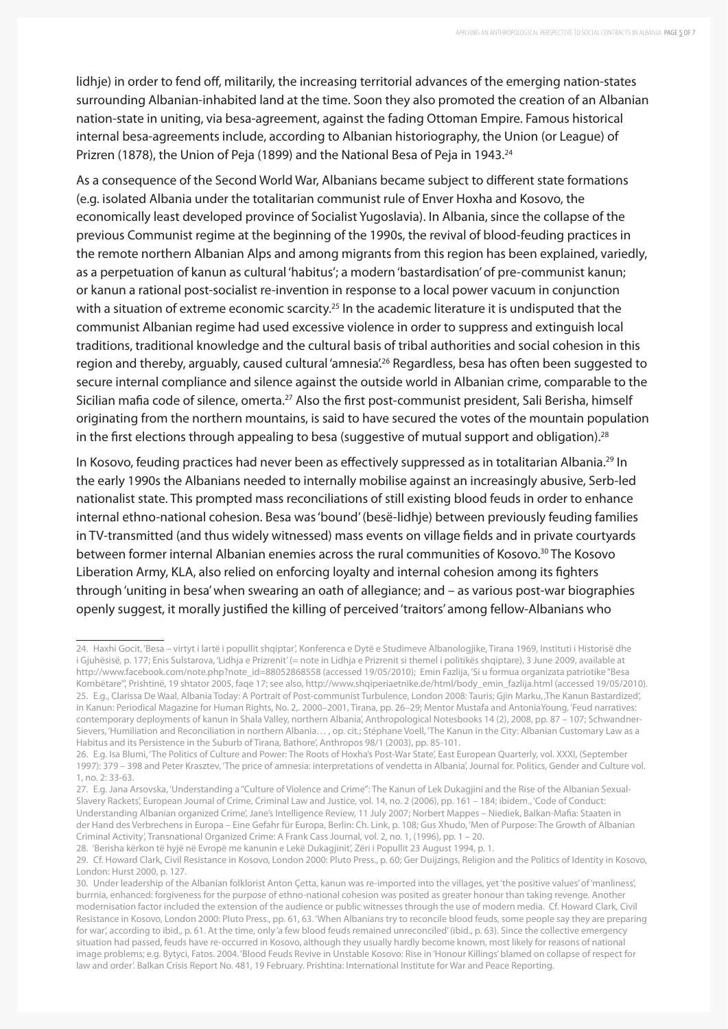lidhje) in order to fend off, militarily, the increasing territorial advances of the emerging nation-states surrounding Albanian-inhabited land at the time. Soon they also promoted the creation of an Albanian nation-state in uniting, via besa-agreement, against the fading Ottoman Empire. Famous historical internal besa-agreements include, according to Albanian historiography, the Union (or League) of Prizren (1878), the Union of Peja (1899) and the National Besa of Peja in 1943.<sup>24</sup>

As a consequence of the Second World War, Albanians became subject to different state formations (e.g. isolated Albania under the totalitarian communist rule of Enver Hoxha and Kosovo, the economically least developed province of Socialist Yugoslavia). In Albania, since the collapse of the previous Communist regime at the beginning of the 1990s, the revival of blood-feuding practices in the remote northern Albanian Alps and among migrants from this region has been explained, variedly, as a perpetuation of kanun as cultural 'habitus'; a modern 'bastardisation' of pre-communist kanun; or kanun a rational post-socialist re-invention in response to a local power vacuum in conjunction with a situation of extreme economic scarcity.<sup>25</sup> In the academic literature it is undisputed that the communist Albanian regime had used excessive violence in order to suppress and extinguish local traditions, traditional knowledge and the cultural basis of tribal authorities and social cohesion in this region and thereby, arguably, caused cultural 'amnesia'.<sup>26</sup> Regardless, besa has often been suggested to secure internal compliance and silence against the outside world in Albanian crime, comparable to the Sicilian mafia code of silence, omerta.<sup>27</sup> Also the first post-communist president, Sali Berisha, himself originating from the northern mountains, is said to have secured the votes of the mountain population in the first elections through appealing to besa (suggestive of mutual support and obligation).<sup>28</sup>

In Kosovo, feuding practices had never been as effectively suppressed as in totalitarian Albania.29 In the early 1990s the Albanians needed to internally mobilise against an increasingly abusive, Serb-led nationalist state. This prompted mass reconciliations of still existing blood feuds in order to enhance internal ethno-national cohesion. Besa was 'bound' (besë-lidhje) between previously feuding families in TV-transmitted (and thus widely witnessed) mass events on village fields and in private courtyards between former internal Albanian enemies across the rural communities of Kosovo.<sup>30</sup> The Kosovo Liberation Army, KLA, also relied on enforcing loyalty and internal cohesion among its fighters through 'uniting in besa' when swearing an oath of allegiance; and – as various post-war biographies openly suggest, it morally justified the killing of perceived 'traitors' among fellow-Albanians who

28. 'Berisha kërkon të hyjë në Evropë me kanunin e Lekë Dukagjinit', Zëri i Popullit 23 August 1994, p. 1.

<sup>24.</sup> Haxhi Gocit, 'Besa – virtyt i lartë i popullit shqiptar', Konferenca e Dytë e Studimeve Albanologjike, Tirana 1969, Instituti i Historisë dhe i Gjuhësisë, p. 177; Enis Sulstarova, 'Lidhja e Prizrenit' (= note in Lidhja e Prizrenit si themel i politikës shqiptare), 3 June 2009, available at http://www.facebook.com/note.php?note\_id=88052868558 (accessed 19/05/2010); Emin Fazlija, 'Si u formua organizata patriotike "Besa Kombëtare"', Prishtinë, 19 shtator 2005, faqe 17; see also, http://www.shqiperiaetnike.de/html/body\_emin\_fazlija.html (accessed 19/05/2010). 25. E.g., Clarissa De Waal, Albania Today: A Portrait of Post-communist Turbulence, London 2008: Tauris; Gjin Marku, The Kanun Bastardized', in Kanun: Periodical Magazine for Human Rights, No. 2,. 2000–2001, Tirana, pp. 26–29; Mentor Mustafa and AntoniaYoung, 'Feud narratives: contemporary deployments of kanun in Shala Valley, northern Albania', Anthropological Notesbooks 14 (2), 2008, pp. 87 – 107; Schwandner-Sievers, 'Humiliation and Reconciliation in northern Albania… , op. cit.; Stéphane Voell, 'The Kanun in the City: Albanian Customary Law as a Habitus and its Persistence in the Suburb of Tirana, Bathore', Anthropos 98/1 (2003), pp. 85-101.

<sup>26.</sup> E.g. Isa Blumi, 'The Politics of Culture and Power: The Roots of Hoxha's Post-War State', East European Quarterly, vol. XXXI, (September 1997): 379 – 398 and Peter Krasztev, 'The price of amnesia: interpretations of vendetta in Albania', Journal for. Politics, Gender and Culture vol. 1, no. 2: 33-63.

<sup>27.</sup> E.g. Jana Arsovska, 'Understanding a "Culture of Violence and Crime": The Kanun of Lek Dukagjini and the Rise of the Albanian Sexual-Slavery Rackets', European Journal of Crime, Criminal Law and Justice, vol. 14, no. 2 (2006), pp. 161 – 184; ibidem., 'Code of Conduct: Understanding Albanian organized Crime', Jane's Intelligence Review, 11 July 2007; Norbert Mappes – Niediek, Balkan-Mafia: Staaten in der Hand des Verbrechens in Europa – Eine Gefahr für Europa, Berlin: Ch. Link, p. 108; Gus Xhudo, 'Men of Purpose: The Growth of Albanian Criminal Activity', Transnational Organized Crime: A Frank Cass Journal, vol. 2, no. 1, (1996), pp. 1 – 20.

<sup>29.</sup> Cf. Howard Clark, Civil Resistance in Kosovo, London 2000: Pluto Press., p. 60; Ger Duijzings, Religion and the Politics of Identity in Kosovo, London: Hurst 2000, p. 127.

<sup>30.</sup> Under leadership of the Albanian folklorist Anton Çetta, kanun was re-imported into the villages, yet 'the positive values' of 'manliness', burrnia, enhanced: forgiveness for the purpose of ethno-national cohesion was posited as greater honour than taking revenge. Another modernisation factor included the extension of the audience or public witnesses through the use of modern media. Cf. Howard Clark, Civil Resistance in Kosovo, London 2000: Pluto Press., pp. 61, 63. 'When Albanians try to reconcile blood feuds, some people say they are preparing for war', according to ibid., p. 61. At the time, only 'a few blood feuds remained unreconciled' (ibid., p. 63). Since the collective emergency situation had passed, feuds have re-occurred in Kosovo, although they usually hardly become known, most likely for reasons of national image problems; e.g. Bytyci, Fatos. 2004. 'Blood Feuds Revive in Unstable Kosovo: Rise in 'Honour Killings' blamed on collapse of respect for law and order'. Balkan Crisis Report No. 481, 19 February. Prishtina: International Institute for War and Peace Reporting.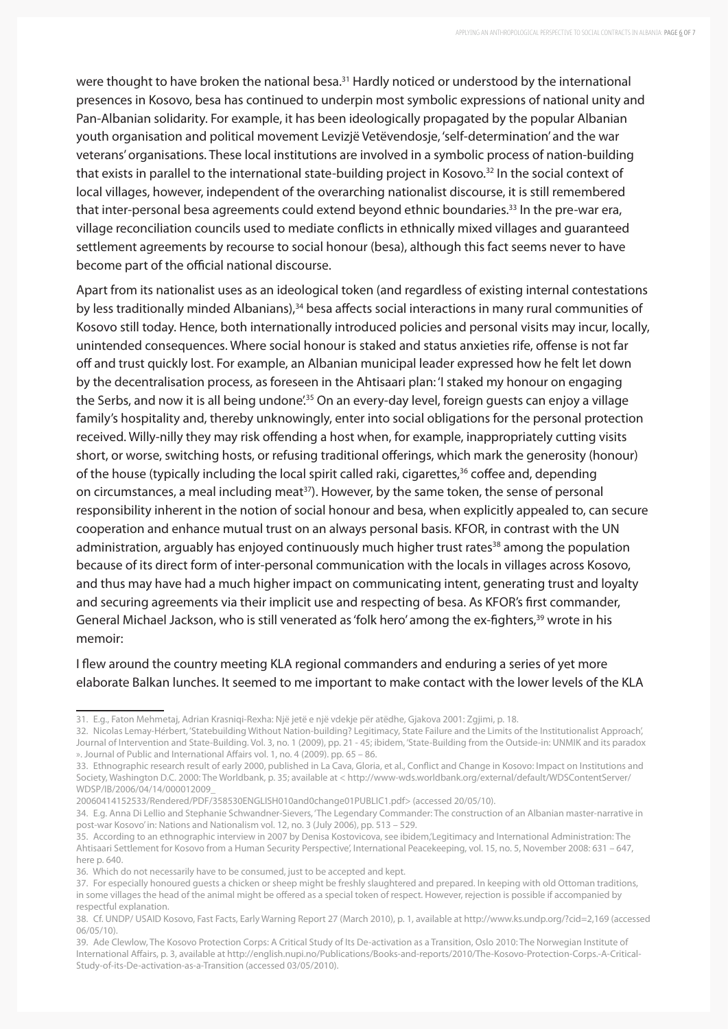were thought to have broken the national besa.<sup>31</sup> Hardly noticed or understood by the international presences in Kosovo, besa has continued to underpin most symbolic expressions of national unity and Pan-Albanian solidarity. For example, it has been ideologically propagated by the popular Albanian youth organisation and political movement Levizjë Vetëvendosje, 'self-determination' and the war veterans' organisations. These local institutions are involved in a symbolic process of nation-building that exists in parallel to the international state-building project in Kosovo.<sup>32</sup> In the social context of local villages, however, independent of the overarching nationalist discourse, it is still remembered that inter-personal besa agreements could extend beyond ethnic boundaries.<sup>33</sup> In the pre-war era, village reconciliation councils used to mediate conflicts in ethnically mixed villages and guaranteed settlement agreements by recourse to social honour (besa), although this fact seems never to have become part of the official national discourse.

Apart from its nationalist uses as an ideological token (and regardless of existing internal contestations by less traditionally minded Albanians),<sup>34</sup> besa affects social interactions in many rural communities of Kosovo still today. Hence, both internationally introduced policies and personal visits may incur, locally, unintended consequences. Where social honour is staked and status anxieties rife, offense is not far off and trust quickly lost. For example, an Albanian municipal leader expressed how he felt let down by the decentralisation process, as foreseen in the Ahtisaari plan: 'I staked my honour on engaging the Serbs, and now it is all being undone<sup>'35</sup> On an every-day level, foreign guests can enjoy a village family's hospitality and, thereby unknowingly, enter into social obligations for the personal protection received. Willy-nilly they may risk offending a host when, for example, inappropriately cutting visits short, or worse, switching hosts, or refusing traditional offerings, which mark the generosity (honour) of the house (typically including the local spirit called raki, cigarettes,<sup>36</sup> coffee and, depending on circumstances, a meal including meat<sup>37</sup>). However, by the same token, the sense of personal responsibility inherent in the notion of social honour and besa, when explicitly appealed to, can secure cooperation and enhance mutual trust on an always personal basis. KFOR, in contrast with the UN administration, arguably has enjoyed continuously much higher trust rates<sup>38</sup> among the population because of its direct form of inter-personal communication with the locals in villages across Kosovo, and thus may have had a much higher impact on communicating intent, generating trust and loyalty and securing agreements via their implicit use and respecting of besa. As KFOR's first commander, General Michael Jackson, who is still venerated as 'folk hero' among the ex-fighters,<sup>39</sup> wrote in his memoir:

I flew around the country meeting KLA regional commanders and enduring a series of yet more elaborate Balkan lunches. It seemed to me important to make contact with the lower levels of the KLA

32. Nicolas Lemay-Hérbert, 'Statebuilding Without Nation-building? Legitimacy, State Failure and the Limits of the Institutionalist Approach', Journal of Intervention and State-Building. Vol. 3, no. 1 (2009), pp. 21 - 45; ibidem, 'State-Building from the Outside-in: UNMIK and its paradox ». Journal of Public and International Affairs vol. 1, no. 4 (2009). pp. 65 – 86.

<sup>31.</sup> E.g., Faton Mehmetaj, Adrian Krasniqi-Rexha: Një jetë e një vdekje për atëdhe, Gjakova 2001: Zgjimi, p. 18.

<sup>33.</sup> Ethnographic research result of early 2000, published in La Cava, Gloria, et al., Conflict and Change in Kosovo: Impact on Institutions and Society, Washington D.C. 2000: The Worldbank, p. 35; available at < http://www-wds.worldbank.org/external/default/WDSContentServer/ WDSP/IB/2006/04/14/000012009\_

<sup>20060414152533/</sup>Rendered/PDF/358530ENGLISH010and0change01PUBLIC1.pdf> (accessed 20/05/10).

<sup>34.</sup> E.g. Anna Di Lellio and Stephanie Schwandner-Sievers, 'The Legendary Commander: The construction of an Albanian master-narrative in post-war Kosovo' in: Nations and Nationalism vol. 12, no. 3 (July 2006), pp. 513 – 529.

<sup>35.</sup> According to an ethnographic interview in 2007 by Denisa Kostovicova, see ibidem,'Legitimacy and International Administration: The Ahtisaari Settlement for Kosovo from a Human Security Perspective', International Peacekeeping, vol. 15, no. 5, November 2008: 631 – 647, here p. 640.

<sup>36.</sup> Which do not necessarily have to be consumed, just to be accepted and kept.

<sup>37.</sup> For especially honoured guests a chicken or sheep might be freshly slaughtered and prepared. In keeping with old Ottoman traditions, in some villages the head of the animal might be offered as a special token of respect. However, rejection is possible if accompanied by respectful explanation.

<sup>38.</sup> Cf. UNDP/ USAID Kosovo, Fast Facts, Early Warning Report 27 (March 2010), p. 1, available at http://www.ks.undp.org/?cid=2,169 (accessed 06/05/10).

<sup>39.</sup> Ade Clewlow, The Kosovo Protection Corps: A Critical Study of Its De-activation as a Transition, Oslo 2010: The Norwegian Institute of International Affairs, p. 3, available at http://english.nupi.no/Publications/Books-and-reports/2010/The-Kosovo-Protection-Corps.-A-Critical-Study-of-its-De-activation-as-a-Transition (accessed 03/05/2010).